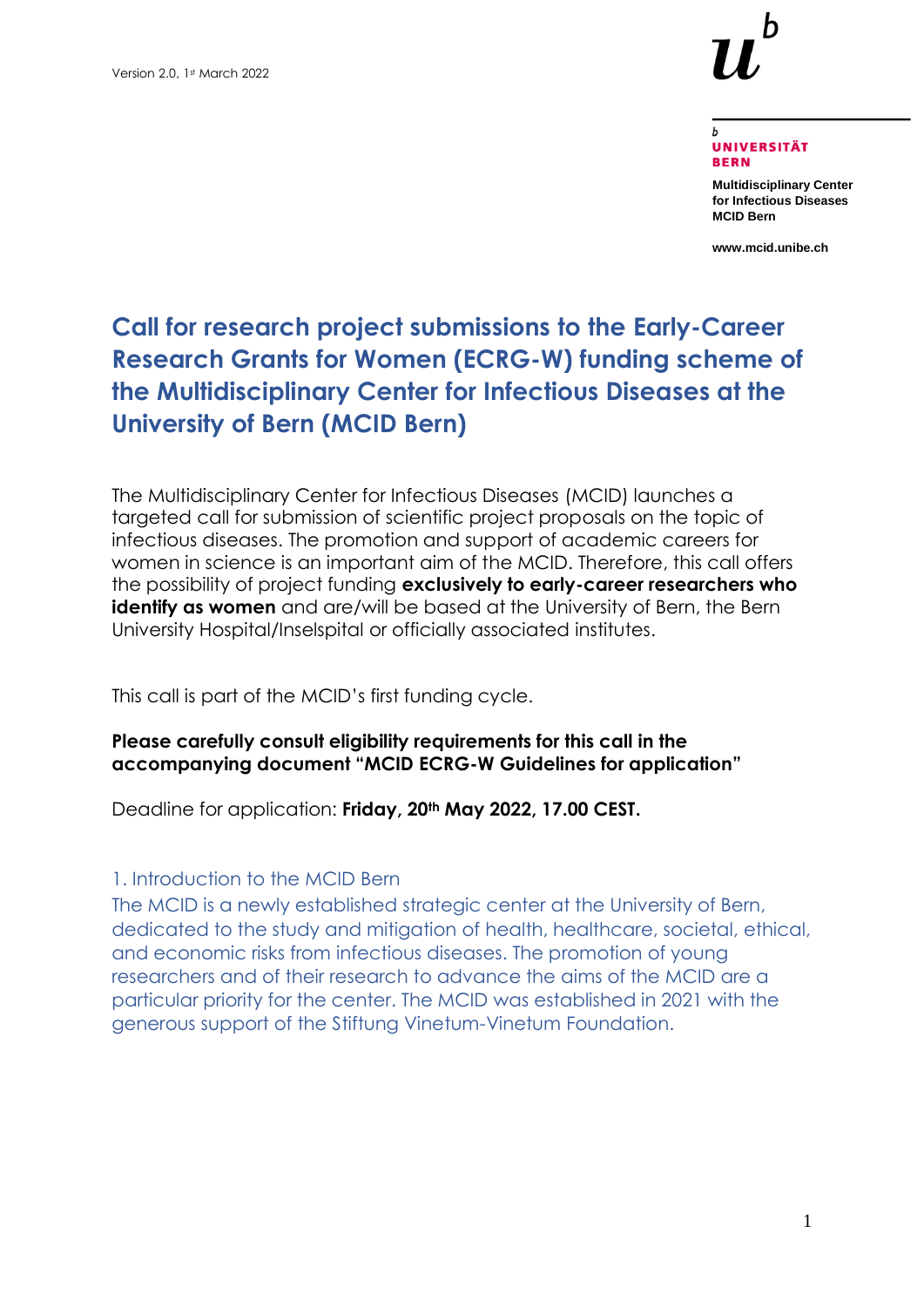

#### **UNIVERSITÄT BERN**

**Multidisciplinary Center for Infectious Diseases MCID Bern**

**www.mcid.unibe.ch**

# **Call for research project submissions to the Early-Career Research Grants for Women (ECRG-W) funding scheme of the Multidisciplinary Center for Infectious Diseases at the University of Bern (MCID Bern)**

The Multidisciplinary Center for Infectious Diseases (MCID) launches a targeted call for submission of scientific project proposals on the topic of infectious diseases. The promotion and support of academic careers for women in science is an important aim of the MCID. Therefore, this call offers the possibility of project funding **exclusively to early-career researchers who identify as women** and are/will be based at the University of Bern, the Bern University Hospital/Inselspital or officially associated institutes.

This call is part of the MCID's first funding cycle.

#### **Please carefully consult eligibility requirements for this call in the accompanying document "MCID ECRG-W Guidelines for application"**

Deadline for application: **Friday, 20th May 2022, 17.00 CEST.**

## 1. Introduction to the MCID Bern

The MCID is a newly established strategic center at the University of Bern, dedicated to the study and mitigation of health, healthcare, societal, ethical, and economic risks from infectious diseases. The promotion of young researchers and of their research to advance the aims of the MCID are a particular priority for the center. The MCID was established in 2021 with the generous support of the Stiftung Vinetum-Vinetum Foundation.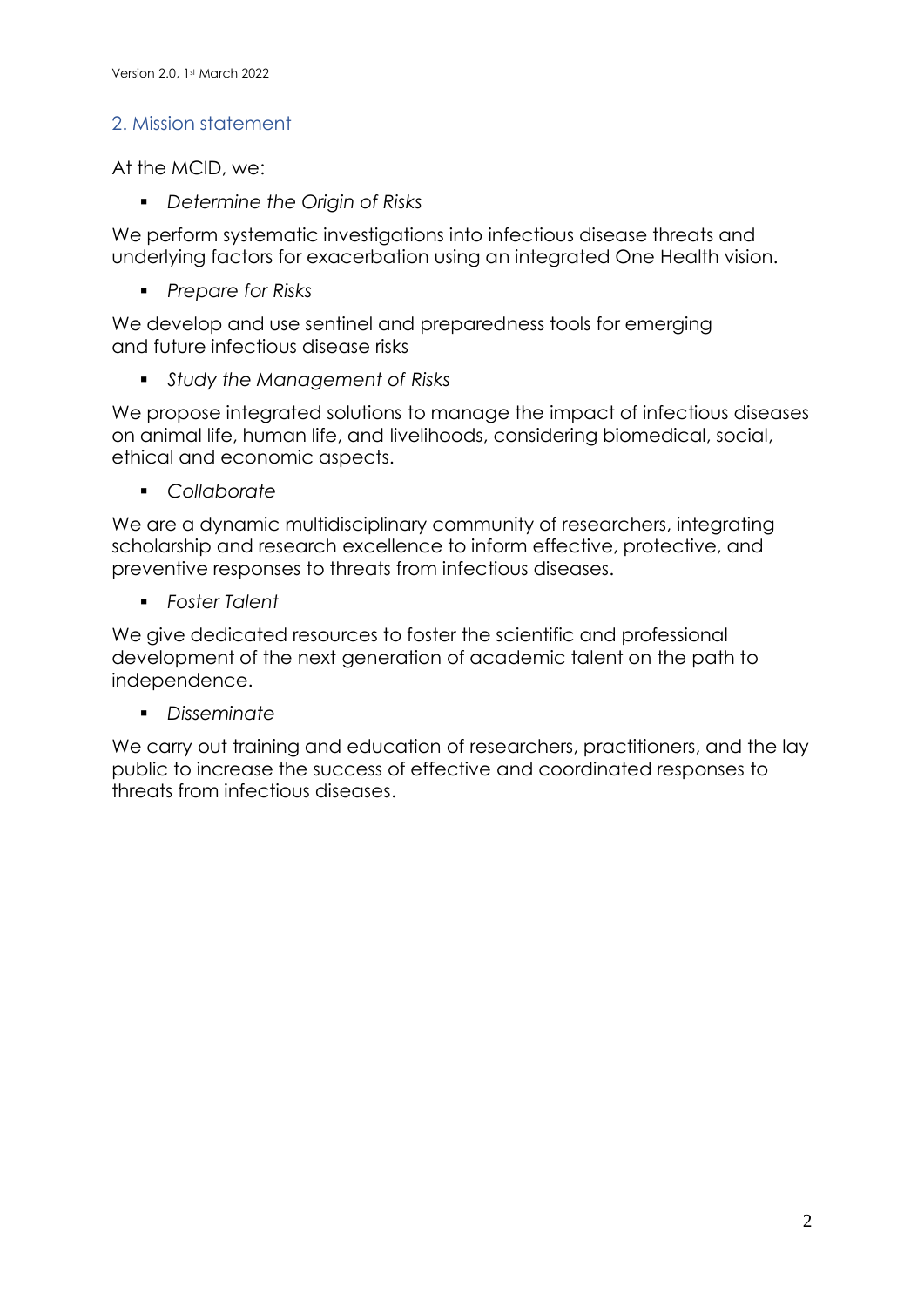## 2. Mission statement

At the MCID, we:

▪ *Determine the Origin of Risks*

We perform systematic investigations into infectious disease threats and underlying factors for exacerbation using an integrated One Health vision.

▪ *Prepare for Risks*

We develop and use sentinel and preparedness tools for emerging and future infectious disease risks

▪ *Study the Management of Risks*

We propose integrated solutions to manage the impact of infectious diseases on animal life, human life, and livelihoods, considering biomedical, social, ethical and economic aspects.

▪ *Collaborate*

We are a dynamic multidisciplinary community of researchers, integrating scholarship and research excellence to inform effective, protective, and preventive responses to threats from infectious diseases.

▪ *Foster Talent*

We give dedicated resources to foster the scientific and professional development of the next generation of academic talent on the path to independence.

▪ *Disseminate*

We carry out training and education of researchers, practitioners, and the lay public to increase the success of effective and coordinated responses to threats from infectious diseases.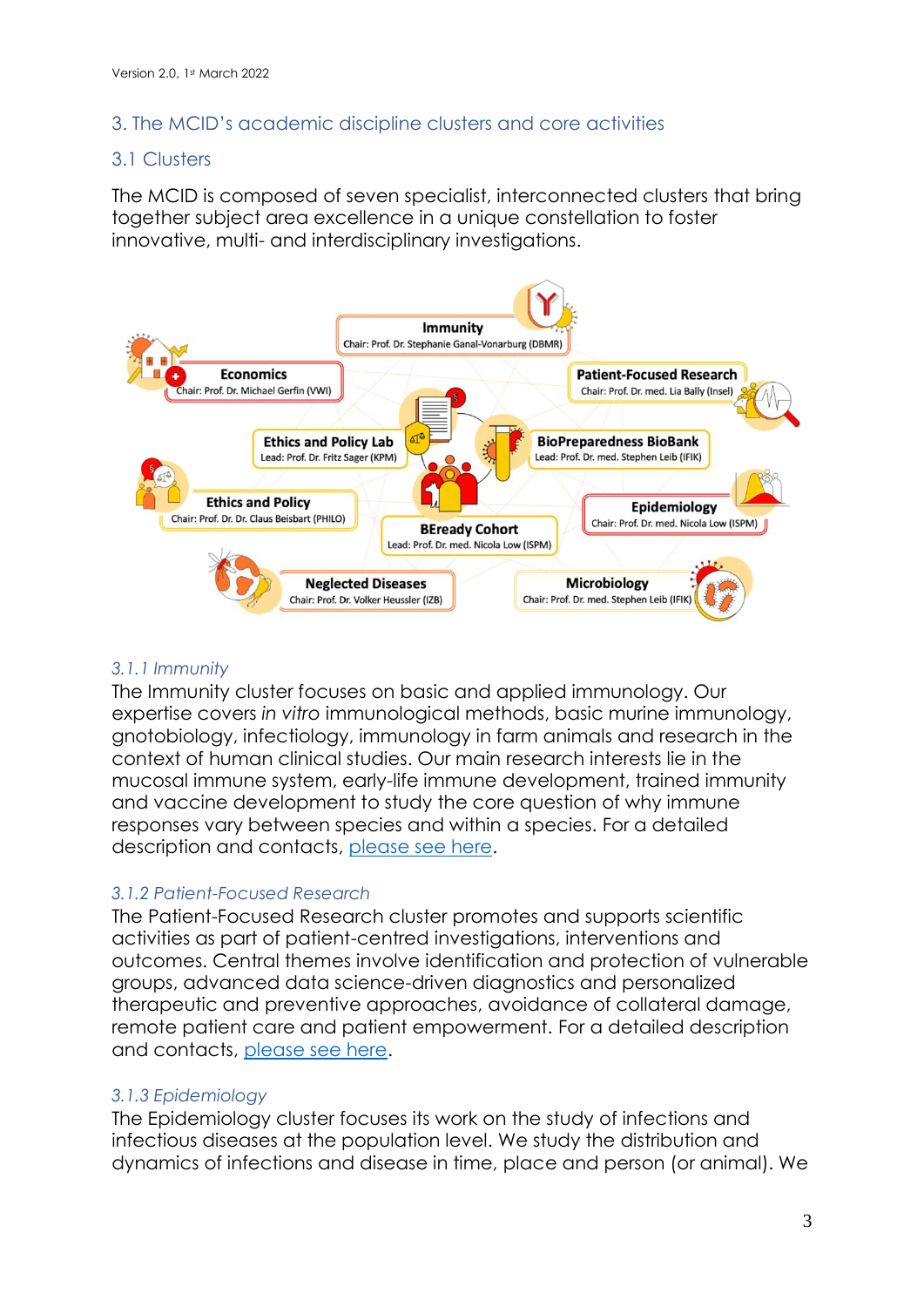## 3. The MCID's academic discipline clusters and core activities

### 3.1 Clusters

The MCID is composed of seven specialist, interconnected clusters that bring together subject area excellence in a unique constellation to foster innovative, multi- and interdisciplinary investigations.



#### *3.1.1 Immunity*

The Immunity cluster focuses on basic and applied immunology. Our expertise covers *in vitro* immunological methods, basic murine immunology, gnotobiology, infectiology, immunology in farm animals and research in the context of human clinical studies. Our main research interests lie in the mucosal immune system, early-life immune development, trained immunity and vaccine development to study the core question of why immune responses vary between species and within a species. For a detailed description and contacts, [please see here.](http://www.mcid.unibe.ch/research/immunity/index_eng.html)

## *3.1.2 Patient-Focused Research*

The Patient-Focused Research cluster promotes and supports scientific activities as part of patient-centred investigations, interventions and outcomes. Central themes involve identification and protection of vulnerable groups, advanced data science-driven diagnostics and personalized therapeutic and preventive approaches, avoidance of collateral damage, remote patient care and patient empowerment. For a detailed description and contacts, [please see here.](http://www.mcid.unibe.ch/research/patient_focused_research/index_eng.html)

## *3.1.3 Epidemiology*

The Epidemiology cluster focuses its work on the study of infections and infectious diseases at the population level. We study the distribution and dynamics of infections and disease in time, place and person (or animal). We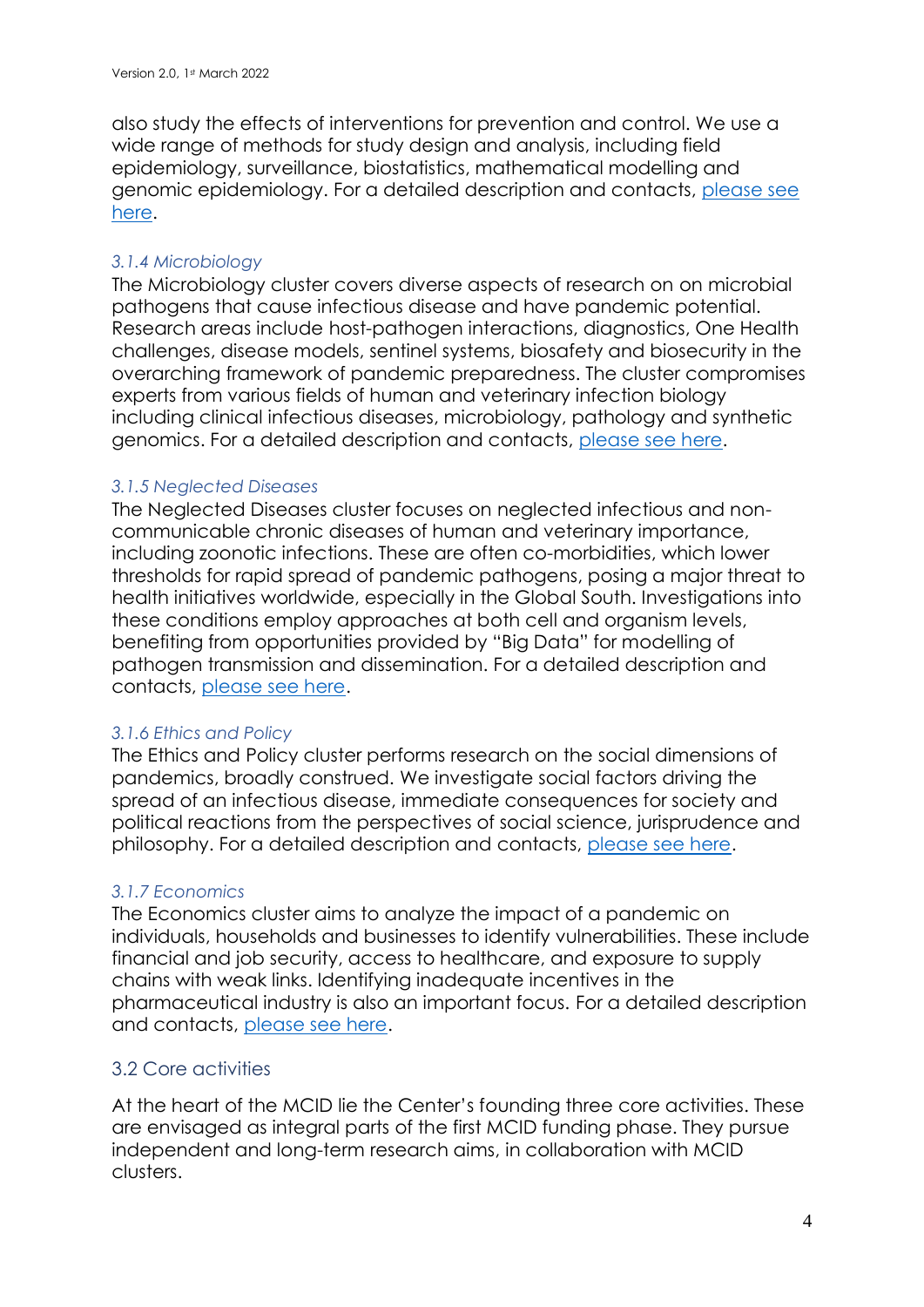also study the effects of interventions for prevention and control. We use a wide range of methods for study design and analysis, including field epidemiology, surveillance, biostatistics, mathematical modelling and genomic epidemiology. For a detailed description and contacts, [please see](http://www.mcid.unibe.ch/research/epidemiology/index_eng.html)  [here.](http://www.mcid.unibe.ch/research/epidemiology/index_eng.html)

#### *3.1.4 Microbiology*

The Microbiology cluster covers diverse aspects of research on on microbial pathogens that cause infectious disease and have pandemic potential. Research areas include host-pathogen interactions, diagnostics, One Health challenges, disease models, sentinel systems, biosafety and biosecurity in the overarching framework of pandemic preparedness. The cluster compromises experts from various fields of human and veterinary infection biology including clinical infectious diseases, microbiology, pathology and synthetic genomics. For a detailed description and contacts, [please see here.](http://www.mcid.unibe.ch/research/microbiology/index_eng.html)

#### *3.1.5 Neglected Diseases*

The Neglected Diseases cluster focuses on neglected infectious and noncommunicable chronic diseases of human and veterinary importance, including zoonotic infections. These are often co-morbidities, which lower thresholds for rapid spread of pandemic pathogens, posing a major threat to health initiatives worldwide, especially in the Global South. Investigations into these conditions employ approaches at both cell and organism levels, benefiting from opportunities provided by "Big Data" for modelling of pathogen transmission and dissemination. For a detailed description and contacts, [please see here.](http://www.mcid.unibe.ch/research/neglected_diseases/index_eng.html)

#### *3.1.6 Ethics and Policy*

The Ethics and Policy cluster performs research on the social dimensions of pandemics, broadly construed. We investigate social factors driving the spread of an infectious disease, immediate consequences for society and political reactions from the perspectives of social science, jurisprudence and philosophy. For a detailed description and contacts, [please see here.](http://www.mcid.unibe.ch/research/ethics_and_policy/index_eng.html)

#### *3.1.7 Economics*

The Economics cluster aims to analyze the impact of a pandemic on individuals, households and businesses to identify vulnerabilities. These include financial and job security, access to healthcare, and exposure to supply chains with weak links. Identifying inadequate incentives in the pharmaceutical industry is also an important focus. For a detailed description and contacts, [please see here.](http://www.mcid.unibe.ch/research/economics/index_eng.html)

## 3.2 Core activities

At the heart of the MCID lie the Center's founding three core activities. These are envisaged as integral parts of the first MCID funding phase. They pursue independent and long-term research aims, in collaboration with MCID clusters.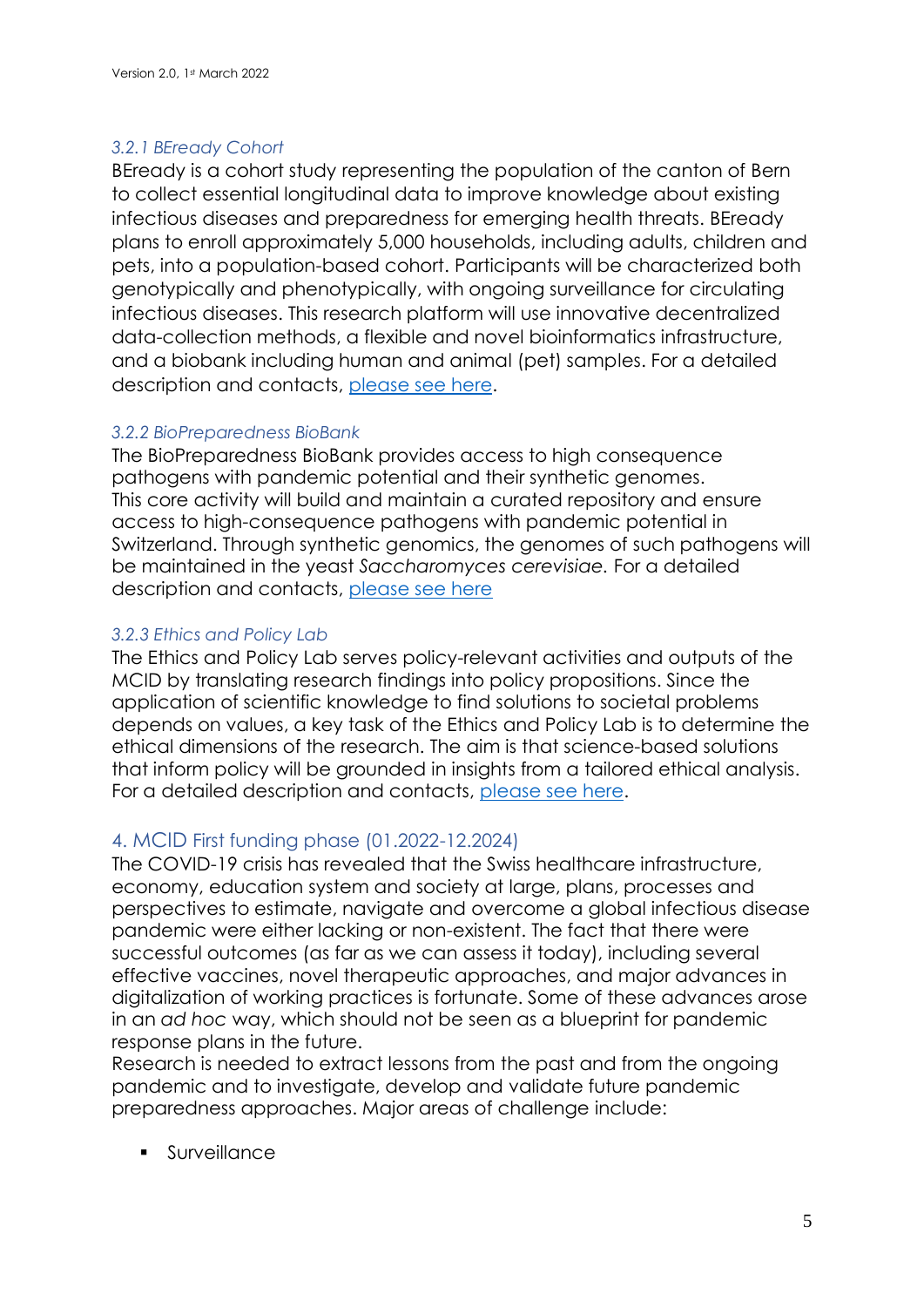#### *3.2.1 BEready Cohort*

BEready is a cohort study representing the population of the canton of Bern to collect essential longitudinal data to improve knowledge about existing infectious diseases and preparedness for emerging health threats. BEready plans to enroll approximately 5,000 households, including adults, children and pets, into a population-based cohort. Participants will be characterized both genotypically and phenotypically, with ongoing surveillance for circulating infectious diseases. This research platform will use innovative decentralized data-collection methods, a flexible and novel bioinformatics infrastructure, and a biobank including human and animal (pet) samples. For a detailed description and contacts, [please see h](http://www.mcid.unibe.ch/research/mcid_core_activities/beready_cohort/index_eng.html)ere.

#### *3.2.2 BioPreparedness BioBank*

The BioPreparedness BioBank provides access to high consequence pathogens with pandemic potential and their synthetic genomes. This core activity will build and maintain a curated repository and ensure access to high-consequence pathogens with pandemic potential in Switzerland. Through synthetic genomics, the genomes of such pathogens will be maintained in the yeast *Saccharomyces cerevisiae.* For a detailed description and contacts, [please see h](http://www.mcid.unibe.ch/research/mcid_core_activities/biopreparedness_biobank/index_eng.html)ere

## *3.2.3 Ethics and Policy Lab*

The Ethics and Policy Lab serves policy-relevant activities and outputs of the MCID by translating research findings into policy propositions. Since the application of scientific knowledge to find solutions to societal problems depends on values, a key task of the Ethics and Policy Lab is to determine the ethical dimensions of the research. The aim is that science-based solutions that inform policy will be grounded in insights from a tailored ethical analysis. For a detailed description and contacts, [please see here.](http://www.mcid.unibe.ch/research/mcid_core_activities/ethics_and_policy_lab/index_eng.html)

## 4. MCID First funding phase (01.2022-12.2024)

The COVID-19 crisis has revealed that the Swiss healthcare infrastructure, economy, education system and society at large, plans, processes and perspectives to estimate, navigate and overcome a global infectious disease pandemic were either lacking or non-existent. The fact that there were successful outcomes (as far as we can assess it today), including several effective vaccines, novel therapeutic approaches, and major advances in digitalization of working practices is fortunate. Some of these advances arose in an *ad hoc* way, which should not be seen as a blueprint for pandemic response plans in the future.

Research is needed to extract lessons from the past and from the ongoing pandemic and to investigate, develop and validate future pandemic preparedness approaches. Major areas of challenge include:

**Surveillance**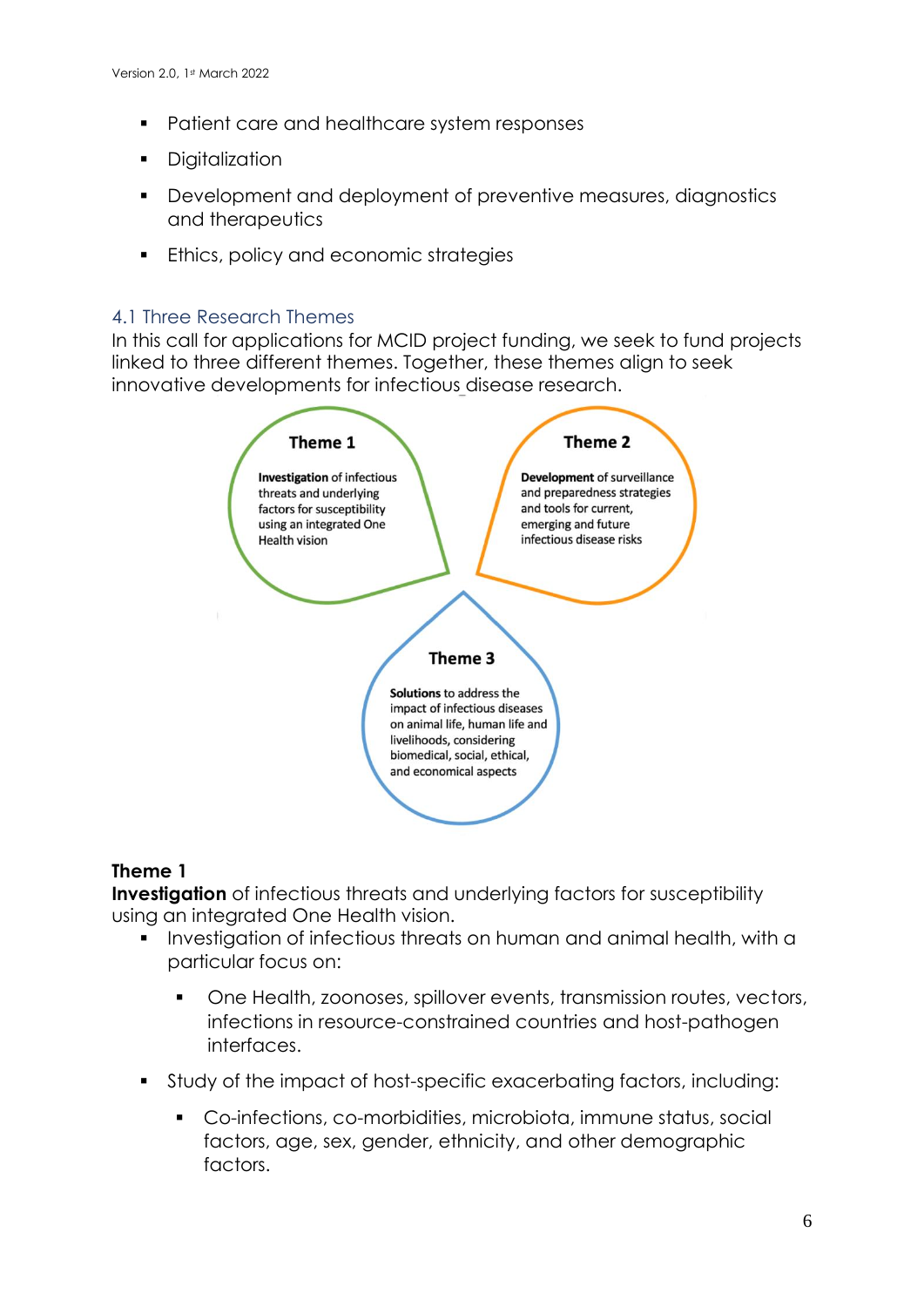- Patient care and healthcare system responses
- **•** Digitalization
- Development and deployment of preventive measures, diagnostics and therapeutics
- **Ethics, policy and economic strategies**

### 4.1 Three Research Themes

In this call for applications for MCID project funding, we seek to fund projects linked to three different themes. Together, these themes align to seek innovative developments for infectious disease research.



## **Theme 1**

**Investigation** of infectious threats and underlying factors for susceptibility using an integrated One Health vision.

- Investigation of infectious threats on human and animal health, with a particular focus on:
	- One Health, zoonoses, spillover events, transmission routes, vectors, infections in resource-constrained countries and host-pathogen interfaces.
- Study of the impact of host-specific exacerbating factors, including:
	- Co-infections, co-morbidities, microbiota, immune status, social factors, age, sex, gender, ethnicity, and other demographic factors.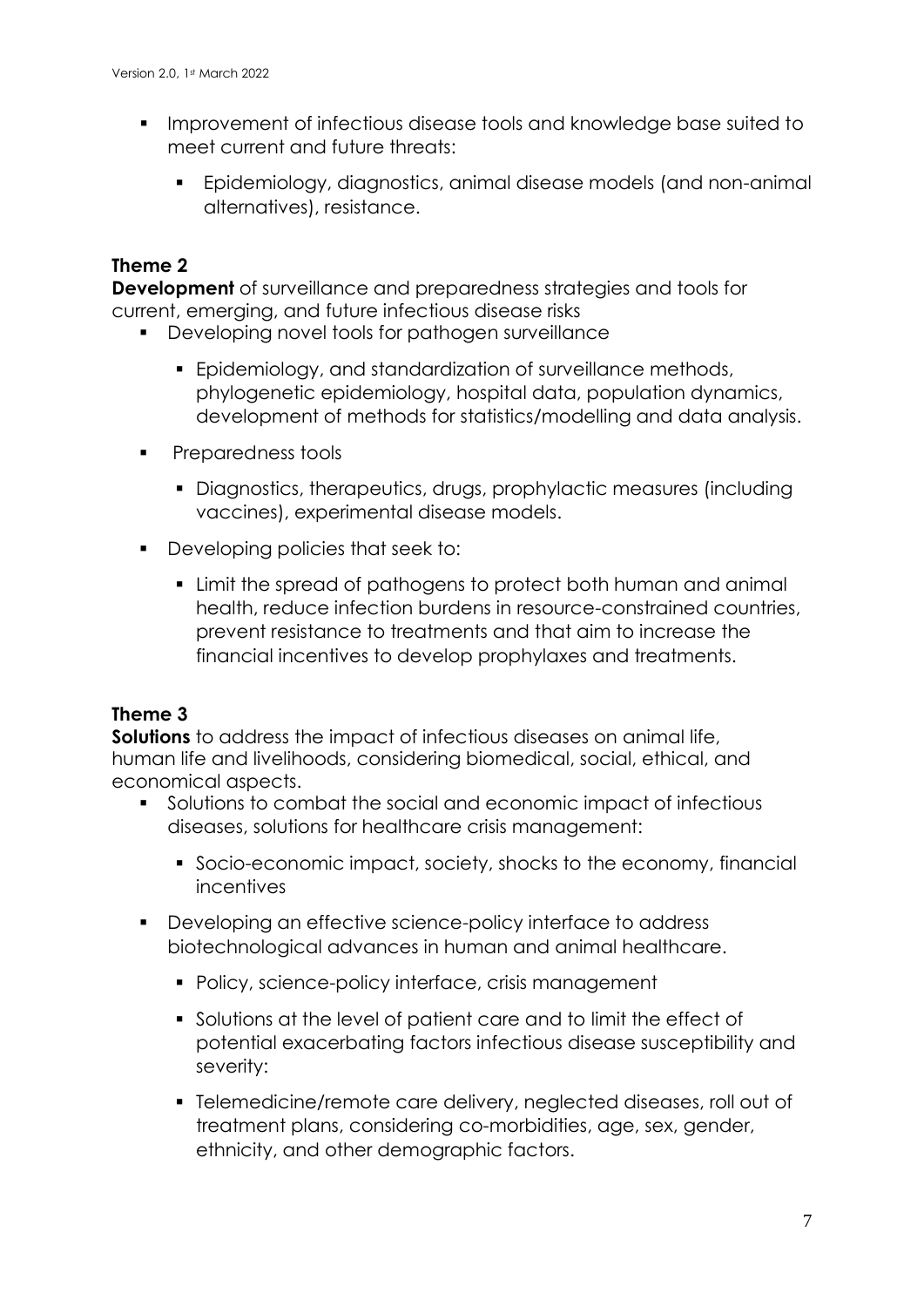- **.** Improvement of infectious disease tools and knowledge base suited to meet current and future threats:
	- Epidemiology, diagnostics, animal disease models (and non-animal alternatives), resistance.

## **Theme 2**

**Development** of surveillance and preparedness strategies and tools for current, emerging, and future infectious disease risks

- Developing novel tools for pathogen surveillance
	- Epidemiology, and standardization of surveillance methods, phylogenetic epidemiology, hospital data, population dynamics, development of methods for statistics/modelling and data analysis.
- Preparedness tools
	- **•** Diagnostics, therapeutics, drugs, prophylactic measures (including vaccines), experimental disease models.
- Developing policies that seek to:
	- Limit the spread of pathogens to protect both human and animal health, reduce infection burdens in resource-constrained countries, prevent resistance to treatments and that aim to increase the financial incentives to develop prophylaxes and treatments.

## **Theme 3**

**Solutions** to address the impact of infectious diseases on animal life, human life and livelihoods, considering biomedical, social, ethical, and economical aspects.

- Solutions to combat the social and economic impact of infectious diseases, solutions for healthcare crisis management:
	- Socio-economic impact, society, shocks to the economy, financial incentives
- Developing an effective science-policy interface to address biotechnological advances in human and animal healthcare.
	- Policy, science-policy interface, crisis management
	- Solutions at the level of patient care and to limit the effect of potential exacerbating factors infectious disease susceptibility and severity:
	- Telemedicine/remote care delivery, neglected diseases, roll out of treatment plans, considering co-morbidities, age, sex, gender, ethnicity, and other demographic factors.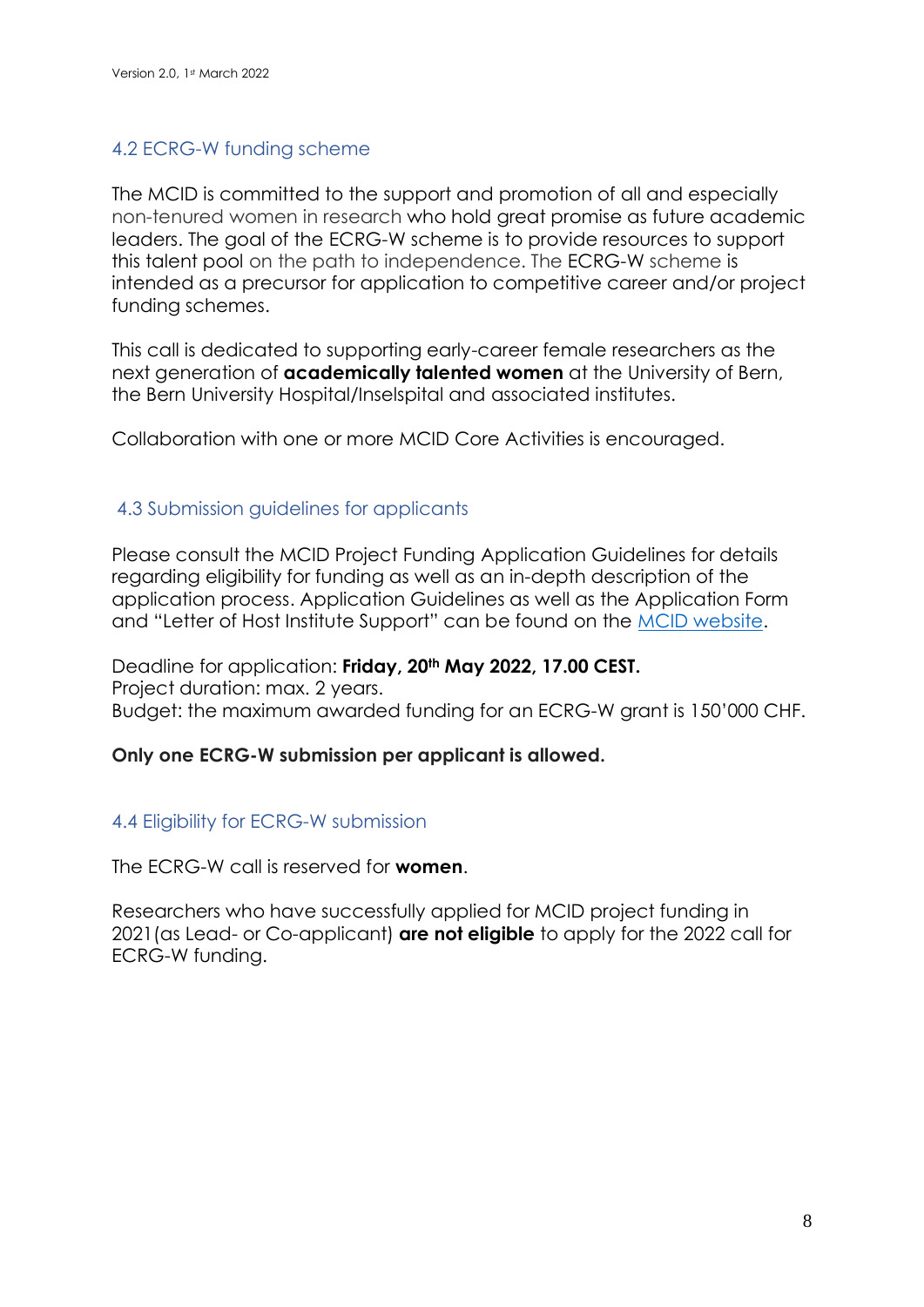## 4.2 ECRG-W funding scheme

The MCID is committed to the support and promotion of all and especially non-tenured women in research who hold great promise as future academic leaders. The goal of the ECRG-W scheme is to provide resources to support this talent pool on the path to independence. The ECRG-W scheme is intended as a precursor for application to competitive career and/or project funding schemes.

This call is dedicated to supporting early-career female researchers as the next generation of **academically talented women** at the University of Bern, the Bern University Hospital/Inselspital and associated institutes.

Collaboration with one or more MCID Core Activities is encouraged.

#### 4.3 Submission guidelines for applicants

Please consult the MCID Project Funding Application Guidelines for details regarding eligibility for funding as well as an in-depth description of the application process. Application Guidelines as well as the Application Form and "Letter of Host Institute Support" can be found on the [MCID website.](https://www.mcid.unibe.ch/call_for_projects/index_eng.html)

Deadline for application: **Friday, 20th May 2022, 17.00 CEST.** Project duration: max. 2 years. Budget: the maximum awarded funding for an ECRG-W grant is 150'000 CHF.

#### **Only one ECRG-W submission per applicant is allowed.**

## 4.4 Eligibility for ECRG-W submission

The ECRG-W call is reserved for **women**.

Researchers who have successfully applied for MCID project funding in 2021(as Lead- or Co-applicant) **are not eligible** to apply for the 2022 call for ECRG-W funding.